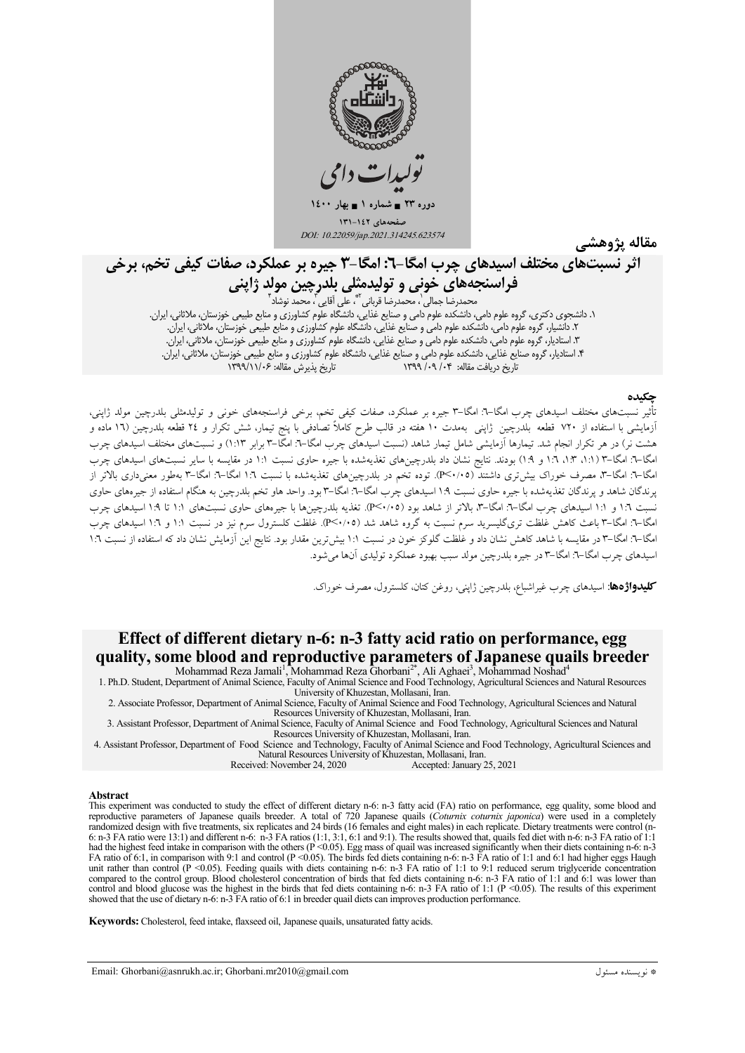

مقاله يژوهشي

# اثر نسبتهای مختلف اسیدهای چرب امگا-٦: امگا-٣ جیره بر عملکرد، صفات کیفی تخم، برخی **فراسنجههای خونی و تولیدمثلی بلدرچین مولد ژاپنی**<br>محمدرضا جمالی<sup>ٰ</sup>، محمدرضا قربانی ِ ؓ، علی اَقایی ؓ، محمد نوشاد ؓ ه حمد نوشاد<br>۱. دانشجوی دکتری، گروه علوم دامی، دانشکده علوم دامی و صنایع غذایی، دانشگاه علوم کشاورزی و منابع طبیعی خوزستان، ملاثانی، ایران.<br>۲. دانشیار، گروه علوم دامی، دانشکده علوم دامی و صنایع غذایی، دانشگاه علوم کشاورزی

تأثیر نسبتهای مختلف اسیدهای چرب امگا–۳: امگا–۳ جیره بر عملکرد، صفات کیفی تخم، برخی فراسنجههای خونی و تولیدمثلی بلدرچین مولد ژاپنی، آزمایشی با استفاده از ۷۲۰ قطعه بلدرچین ژاپنی بهمدت ۱۰ هفته در قالب طرح کاملاً تصادفی با پنج تیمار، شش تکرار و ۲٤ قطعه بلدرچین (۱٦ ماده و<br>هشت نر) در هر تکرار انجام شد. تیمارها آزمایشی شامل تیمار شاهد (نسبت اسیدهای چرب امگا امگا–۳: امگا–۳ (۱:۱، ۱:۳، ۱:۹ و ۱:۹) بودند. نتایج نشان داد بلدرچینهای تغذیهشده با جیره حاوی نسبت ۱:۱ در مقایسه با سایر نسبتهای اسیدهای چرب امگا–۳: امگا–۳، مصرف خوراک بیش تری داشتند (۴<۰/۰۵). توده تخم در بلدرچینهای تغذیهشده با نسبت ۱:۲ امگا–۳: امگا–۳ بهطور معنی،داری بالاتر از پرندگان شاهد و پرندگان تغذیهشده با جیره حاوی نسبت ۱.۹ اسیدهای چرب امگا–۳. امگا–۳ بود. واحد هاو تخم بلدرچین به هنگام استفاده از جیرههای حاوی نسبت ۱:۲ و ۱:۱ اسیدهای چرب امگا–۳: امگا–۳، بالاتر از شاهد بود (۲۰/۰۵). تغذیه بلدرچینها با جیرههای حاوی نسبتهای ۱:۱ تا ۱:۹ اسیدهای چرب امگا–۳: امگا–۳ باعث کاهش غلظت تریگلیسرید سرم نسبت به گروه شاهد شد (P<۰/۰۵). غلظت کلسترول سرم نیز در نسبت ۱:۱ و ۱:۲ اسیدهای چرب مگا–۳: امگا–۳ در مقایسه با شاهد کاهش نشان داد و غلظت گلوکز خون در نسبت ۱:۱ بیش ترین مقدار بود. نتایج این آزمایش نشان داد که استفاده از نسبت ۱:۲ اسيدهاي چرب امگا-٦: امگا-٣ در جيره بلدرچين مولد سبب بهبود عملكرد توليدي آنها مي شود.

كليدواژه، اسيدهاي چرب غيراشباع، بلدرچين ژاپني، روغن كتان، كلسترول، مصرف خوراك.

## Effect of different dietary n-6: n-3 fatty acid ratio on performance, egg quality, some blood and reproductive parameters of Japanese quails breeder

Mohammad Reza Jamali<sup>1</sup>, Mohammad Reza Ghorbani<sup>2\*</sup>, Ali Aghaei<sup>3</sup>, Mohammad Noshad<sup>4</sup> 1. Ph.D. Student, Department of Animal Science, Faculty of Animal Science and Food Technology, Agricultural Sciences and Natural Resources University of Khuzestan, Mollasani, Iran.

2. Associate Professor, Department of Animal Science, Faculty of Animal Science and Food Technology, Agricultural Sciences and Natural Resources University of Khuzestan, Mollasani, Iran.

3. Assistant Professor, Department of Animal Science, Faculty of Animal Science and Food Technology, Agricultural Sciences and Natural Resources University of Khuzestan, Mollasani, Iran.

4. Assistant Professor, Department of Food Science and Technology, Faculty of Animal Science and Food Technology, Agricultural Sciences and Natural Resources University of Khuzestan, Mollasani, Iran.

Accepted: January 25, 2021 Received: November 24, 2020

#### Abstract

This experiment was conducted to study the effect of different dietary n-6: n-3 fatty acid (FA) ratio on performance, egg quality, some blood and reproductive parameters of Japanese qualis breeder. A total of 720 Japanese qualis (Cotumix cotumix japonica) were used in a completely<br>randomized design with five treatments, six replicates and 24 birds (16 females and ei 6: n-3 FA ratio were 13:1) and different n-6: n-3 FA ratios (1:1, 3:1, 6:1 and 9:1). The results showed that, quails fed diet with n-6: n-3 FA ratio of 1:1 had the highest feed intake in comparison with the others (P < 0. had the highest feed intake in comparison with the others ( $P \le 0.05$ ). Egg mass of quail was increased significantly when their diets containing n-6: n-3<br>FA ratio of 6:1, in comparison with 9:1 and control ( $P \le 0.05$ ). showed that the use of dietary n-6: n-3 FA ratio of 6:1 in breeder quail diets can improves production performance.

Keywords: Cholesterol, feed intake, flaxseed oil, Japanese quails, unsaturated fatty acids.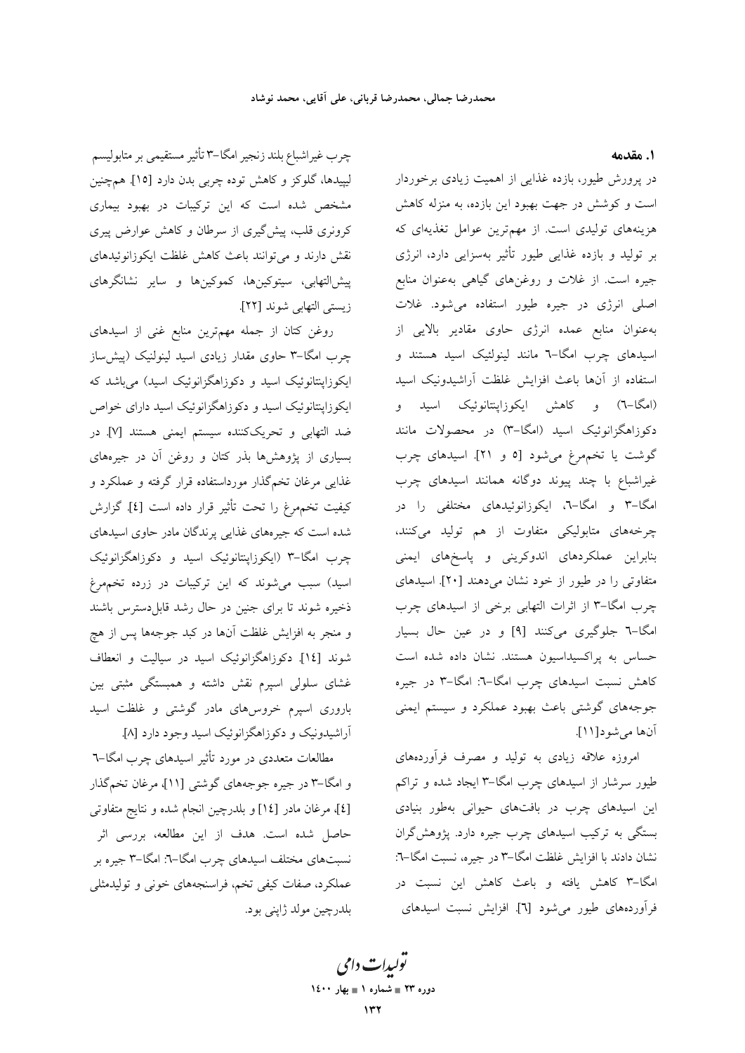چرب غيراشباع بلند زنجير امگا–٣ تأثير مستقيمي بر متابوليسم لیپیدها، گلوکز و کاهش توده چربی بدن دارد [۱۵]. همچنین مشخص شده است که این ترکیبات در بهبود بیماری کرونری قلب، پیش گیری از سرطان و کاهش عوارض پیری نقش دارند و می توانند باعث کاهش غلظت ایکوزانوئیدهای پیش|لتھابی، سیتوکینها، کموکینها و سایر نشانگرهای زيستي التهابي شوند [٢٢].

روغن كتان از جمله مهمترين منابع غني از اسيدهاي چرب امگا-۳ حاوی مقدار زیادی اسید لینولنیک (پیش ساز ایکوزاپنتانوئیک اسید و دکوزاهگزانوئیک اسید) میباشد که ایکوزاینتانوئیک اسید و دکوزاهگزانوئیک اسید دارای خواص .<br>ضد التهابي و تحريککننده سيستم ايمني هستند [۷]. در بسیاری از پژوهشها بذر کتان و روغن آن در جیرههای غذایی مرغان تخمگذار مورداستفاده قرار گرفته و عملکرد و كيفيت تخمهمرغ را تحت تأثير قرار داده است [٤]. گزارش شده است که جیرههای غذایی پرندگان مادر حاوی اسیدهای چرب امگا–۳ (ایکوزاینتانوئیک اسید و دکوزاهگزانوئیک اسید) سبب می شوند که این ترکیبات در زرده تخمهرغ ذخیره شوند تا برای جنین در حال رشد قابل دسترس باشند و منجر به افزایش غلظت آنها در کبد جوجهها پس از هچ شوند [۱٤]. دکوزاهگزانوئیک اسید در سیالیت و انعطاف غشای سلولی اسپرم نقش داشته و همبستگی مثبتی بین باروری اسپرم خروس،های مادر گوشتی و غلظت اسید آراشیدونیک و دکوزاهگزانوئیک اسید وجود دارد [A].

مطالعات متعددی در مورد تأثیر اسیدهای چرب امگا–٦ و امگا–۳ در جیره جوجههای گوشتی [۱۱]، مرغان تخمگذار [٤]، مرغان مادر [١٤] و بلدرچین انجام شده و نتایج متفاوتی حاصل شده است. هدف از این مطالعه، بررسی اثر نسبتهای مختلف اسیدهای چرب امگا–٦: امگا–٣ جیره بر عملکرد، صفات کیفی تخم، فراسنجههای خونی و تولیدمثلی بلدرچين مولد ژاپنې بود. ١. مقدمه

در پرورش طیور، بازده غذایی از اهمیت زیادی برخوردار است و کوشش در جهت بهبود این بازده، به منزله کاهش هزینههای تولیدی است. از مهمترین عوامل تغذیهای که بر تولید و بازده غذایی طیور تأثیر بهسزایی دارد، انرژی جیره است. از غلات و روغنهای گیاهی بهعنوان منابع اصلی انرژی در جیره طیور استفاده میشود. غلات به عنوان منابع عمده انرژی حاوی مقادیر بالایی از اسیدهای چرب امگا-٦ مانند لینولئیک اسید هستند و استفاده از آنها باعث افزايش غلظت آراشيدونيك اسيد (امگا-٦) و کاهش ایکوزاپنتانوئیک اسید و دکوزاهگزانوئیک اسید (امگا-۳) در محصولات مانند گوشت یا تخمهرغ میشود [٥ و ٢١]. اسیدهای چرب غیراشباع با چند پیوند دوگانه همانند اسیدهای چرب امگا–۳ و امگا–۰. ایکوزانوئیدهای مختلفی را در چرخههای متابولیکی متفاوت از هم تولید میکنند، بنابراین عملکردهای اندوکرینی و پاسخهای ایمنی متفاوتی را در طیور از خود نشان میدهند [۲۰]. اسیدهای چرب امگا-۳ از اثرات التهابی برخی از اسیدهای چرب امگا-٦ جلوگیری میکنند [٩] و در عین حال بسیار حساس به پراکسیداسیون هستند. نشان داده شده است کاهش نسبت اسیدهای چرب امگا-٦: امگا-٣ در جیره جوجههای گوشتی باعث بهبود عملکرد و سیستم ایمنی آنها مي شود [١١].

امروزه علاقه زیادی به تولید و مصرف فرآوردههای طیور سرشار از اسیدهای چرب امگا–۳ ایجاد شده و تراکم این اسیدهای چرب در بافتهای حیوانی بهطور بنیادی بستگی به ترکیب اسیدهای چرب جیره دارد. پژوهش گران نشان دادند با افزایش غلظت امگا-۳ در جیره، نسبت امگا-٦: امگا-۳ کاهش یافته و باعث کاهش این نسبت در فرآوردههای طیور می شود [٦]. افزایش نسبت اسیدهای

تولیدات دامی دوره ۲۳ = شماره ۱ = بهار ۱٤۰۰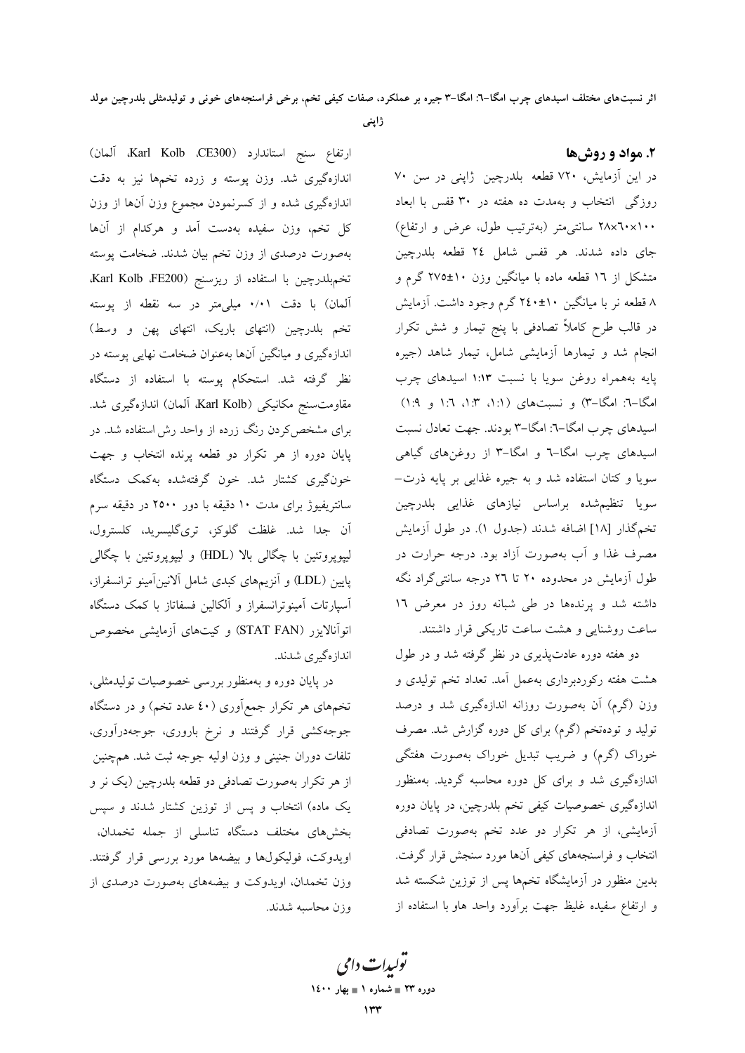ژاپنی

ارتفاع سنج استاندارد (Karl Kolb ،CE300، آلمان) اندازهگیری شد. وزن پوسته و زرده تخمها نیز به دقت اندازهگیری شده و از کسرنمودن مجموع وزن آنها از وزن کل تخم، وزن سفیده بهدست آمد و هرکدام از آنها بهصورت درصدی از وزن تخم بیان شدند. ضخامت پوسته تخم بلدرچين با استفاده از ريزسنج (Karl Kolb ،FE200 آلمان) با دقت ۰/۰۱ میلی متر در سه نقطه از پوسته تخم بلدرچین (انتهای باریک، انتهای پهن و وسط) اندازهگیری و میانگین آنها بهعنوان ضخامت نهایی پوسته در نظر گرفته شد. استحکام پوسته با استفاده از دستگاه مقاومت سنج مكانيكي (Karl Kolb، آلمان) اندازهگيري شد. برای مشخص کردن رنگ زرده از واحد رش استفاده شد. در پایان دوره از هر تکرار دو قطعه پرنده انتخاب و جهت خونگیری کشتار شد. خون گرفتهشده بهکمک دستگاه سانتریفیوژ برای مدت ۱۰ دقیقه با دور ۲۵۰۰ در دقیقه سرم ۔<br>اَن جدا شد. غلظت گلوکز، تریگلیسرید، کلسترول، ليپويروتئين با چگالي بالا (HDL) و ليپويروتئين با چگالي پایین (LDL) و آنزیمهای کبدی شامل آلانینآمینو ترانسفراز، آسپارتات آمینوترانسفراز و آلکالین فسفاتاز با کمک دستگاه اتوانالایزر (STAT FAN) و کیتهای ازمایشی مخصوص انداز هگیری شدند.

در پایان دوره و بهمنظور بررسی خصوصیات تولیدمثلی، تخمههای هر تکرار جمعآوری (٤٠ عدد تخم) و در دستگاه جوجهکشی قرار گرفتند و نرخ باروری، جوجهدرآوری، تلفات دوران جنینی و وزن اولیه جوجه ثبت شد. همچنین از هر تکرار بهصورت تصادفی دو قطعه بلدرچین (یک نر و یک ماده) انتخاب و پس از توزین کشتار شدند و سپس بخشهای مختلف دستگاه تناسلی از جمله تخمدان، اویدوکت، فولیکول&ا و بیضهها مورد بررسی قرار گرفتند. وزن تخمدان، اویدوکت و بیضههای بهصورت درصدی از وزن محاسبه شدند. در این آزمایش، ۷۲۰ قطعه بلدرچین ژاپنی در سن ۷۰ روزگی انتخاب و بهمدت ده هفته در ۳۰ قفس با ابعاد ۲۸x٦٠x۱۰۰ سانتی متر (بهترتیب طول، عرض و ارتفاع) جاي داده شدند. هر قفس شامل ٢٤ قطعه بلدرچين متشکل از ۱۲ قطعه ماده با میانگین وزن ۱۰±۲۷۵ گرم و ۸ قطعه نر با میانگین ۱۰±۲٤۰ گرم وجود داشت. آزمایش در قالب طرح کاملاً تصادفی با پنج تیمار و شش تکرار انجام شد و تیمارها آزمایشی شامل، تیمار شاهد (جیره پایه بههمراه روغن سویا با نسبت ۱:۱۳ اسیدهای چرب امگا-٦: امگا-٣) و نسبتهای (۱:۱، ۱:۳، ۱:۲ و ۱:۹) اسیدهای چرب امگا-٦: امگا-٣ بودند. جهت تعادل نسبت اسیدهای چرب امگا-٦ و امگا-٣ از روغنهای گیاهی سویا و کتان استفاده شد و به جیره غذایی بر پایه ذرت– سویا تنظیمشده براساس نیازهای غذایی بلدرچین تخم گذار [۱۸] اضافه شدند (جدول ۱). در طول أزمايش مصرف غذا و آب بهصورت آزاد بود. درجه حرارت در طول آزمایش در محدوده ۲۰ تا ۲۲ درجه سانتیگراد نگه داشته شد و پرندهها در طی شبانه روز در معرض ١٦ ساعت روشنایی و هشت ساعت تاریکی قرار داشتند.

دو هفته دوره عادتپذیری در نظر گرفته شد و در طول هشت هفته رکوردبرداری بهعمل آمد. تعداد تخم تولیدی و وزن (گرم) آن بهصورت روزانه اندازهگیری شد و درصد تولید و تودهتخم (گرم) برای کل دوره گزارش شد. مصرف خوراک (گرم) و ضریب تبدیل خوراک بهصورت هفتگی اندازهگیری شد و برای کل دوره محاسبه گردید. بهمنظور اندازهگیری خصوصیات کیفی تخم بلدرچین، در پایان دوره آزمایشی، از هر تکرار دو عدد تخم بهصورت تصادفی انتخاب و فراسنجههای کیفی آنها مورد سنجش قرار گرفت. بدین منظور در آزمایشگاه تخمها پس از توزین شکسته شد و ارتفاع سفیده غلیظ جهت برآورد واحد هاو با استفاده از

تولیدات دامی دوره ۲۳ = شماره ۱ = بهار ۱٤۰۰

#### ۲. مواد و روشها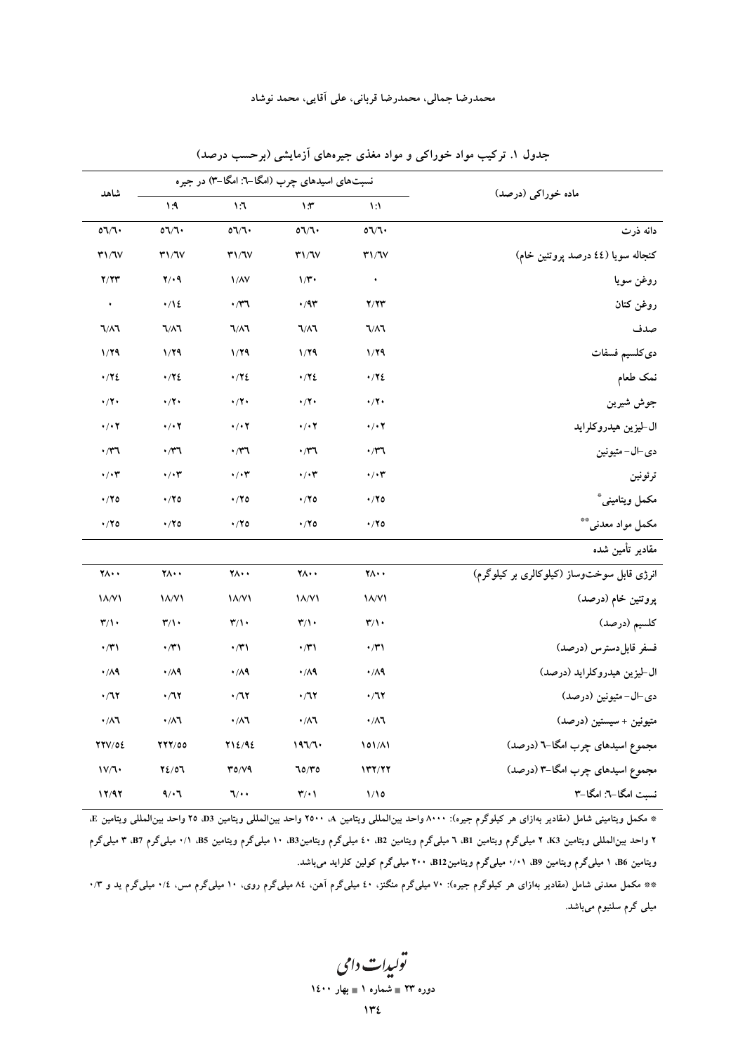|                              |                                  |                              | ماده خوراکی (درصد)                                                 |                                              |
|------------------------------|----------------------------------|------------------------------|--------------------------------------------------------------------|----------------------------------------------|
| $\Lambda$ : $\Lambda$        | 17                               | $\lambda$                    | $\mathcal{N}$                                                      |                                              |
| $O\Gamma$                    | 07/7                             | 07/7                         | $\mathfrak{o}\mathfrak{d}/\mathfrak{d}\mathfrak{\textbf{\bullet}}$ | دانه ذرت                                     |
| T1/TV                        | Y1/TV                            | T1/TV                        | T1/TV                                                              | کنجاله سویا (٤٤ درصد پروتئین خام)            |
| $Y \cdot 9$                  | 1/NV                             | $1/\tilde{r}$                | $\bullet$                                                          | روغن سويا                                    |
| $\cdot/12$                   | $\cdot$                          | $\cdot$ /9٣                  | Y/Y'                                                               | روغن كتان                                    |
| <b>J/A7</b>                  | $7/\lambda$                      | $7/\lambda$                  | $7/\lambda$                                                        | صدف                                          |
| 1/79                         | 1/79                             | 1/79                         | 1/79                                                               | دىكلسيم فسفات                                |
| $\cdot$ /۲٤                  | $\cdot$ /۲٤                      | $\cdot$ / $\cdot$            | $\cdot$ / $\cdot$                                                  | نمک طعام                                     |
| $\cdot$ /۲ $\cdot$           | $\cdot$ /۲ $\cdot$               | $\cdot$ /۲ $\cdot$           | $\cdot/7$                                                          | جوش شيرين                                    |
| $\cdot$ / $\cdot$ $\cdot$    | $\cdot$ / $\cdot$ $\overline{v}$ | $\cdot$ / $\cdot$ $\cdot$    | $\cdot$ / $\cdot$ $\tau$                                           | ال-ليزين هيدروكلرايد                         |
| $\cdot$                      | $\cdot$                          | $\cdot$ /۳٦                  | $\cdot$ r                                                          | دي -ال- متيونين                              |
| $\cdot/\cdot \tau$           | $\cdot/\cdot$ ۳                  | $\cdot/\cdot$ ۳              | $\cdot/\cdot \tau$                                                 | ترئونين                                      |
| $\cdot$ /۲٥                  | $\cdot$ /۲٥                      | $\cdot$ /۲٥                  | $\cdot$ /۲٥                                                        | مکمل ویتامینی*                               |
| $\cdot$ /۲٥                  | $\cdot$ /۲٥                      | $\cdot$ /۲٥                  | $\cdot$ /۲٥                                                        | مکمل مواد معدنی**                            |
|                              |                                  |                              |                                                                    | مقادير تأمين شده                             |
| $\forall \wedge \cdot \cdot$ | $\forall \wedge \cdot$           | ۲۸۰۰                         | ۲۸۰۰                                                               | انرژی قابل سوختوساز (کیلوکالری بر کیلوگرم)   |
| $\Lambda/V$                  | $\lambda/\nu$                    | $\Lambda/V$                  | <b>14/V1</b>                                                       | پروتئين خام (درصد)                           |
| $\mathsf{r}/\mathsf{N}$      | $\mathbf{r}/\mathbf{v}$          | $\mathbf{r}/\mathbf{v}$      | $\mathbf{r}/\mathbf{v}$                                            | كلسيم (درصد)                                 |
| $\cdot$ /۳۱                  | $\cdot$ /۳۱                      | $\cdot$ /۳۱                  | $\cdot$ /۳۱                                                        | فسفر قابل دسترس (درصد)                       |
| $\cdot/\Lambda$ ٩            | $\cdot / \Lambda$ ٩              | $\cdot$ /19                  | $\cdot / \Lambda$ ٩                                                | ال-ليزين هيدروكلرايد (درصد)                  |
| $\cdot/77$                   | $\cdot/77$                       | $\cdot/77$                   | $\cdot$ /7٢                                                        | دي ال-متيونين (درصد)                         |
| $\cdot/\lambda$ ٦            | $\cdot/\lambda$ ٦                | $\cdot/\lambda$ ٦            | $\cdot/\lambda$ ٦                                                  | متيونين + سيستين (درصد)                      |
| 777/00                       | 712/92                           | 197/7                        | 101/11                                                             | مجموع اسیدهای چرب امگا-٦ (درصد)              |
| 72/07                        | T0/Y9                            | 70/70                        | YY/YY                                                              | مجموع اسیدهای چرب امگا-۳ (درصد)              |
| 9/17                         | $\mathcal{V}$ .                  | $\mathbf{r}/\cdot\mathbf{r}$ | 1/10                                                               | نسبت امكا-٦: امكا-٣                          |
|                              |                                  |                              |                                                                    | نسبتهای اسیدهای چرب (امگا-٦: امگا-٣) در جیره |

جدول ۱. ترکیب مواد خوراکی و مواد مغذی جیرههای آزمایشی (برحسب درصد)

\* مكمل ويتاميني شامل (مقادير بهازاي هر كيلوگرم جيره): ٨٠٠٠ واحد بينالمللي ويتامين ٨٠٠ واحد بين|لمللي ويتامين D3 ق و واحد بين|لمللي ويتامين E ۲ واحد بینالمللی ویتامین K3. ۲ مبلیگرم ویتامین B1. ۲ مبلیگرم ویتامین B2. ۱۰ مبلیگرم ویتامین B5. ۱/ B5. ۱/ مبلیگرم B7. ۴. مبلیگرم ویتامین B6، ۱ میلیگرم ویتامین B9، ۰/۰۱ میلیگرم ویتامینB12، ۲۰۰ میلیگرم کولین کلراید میباشد.

\*\* مکمل معدنی شامل (مقادیر بهازای هر کیلوگرم جیره): ۷۰ میلیگرم منگنز، ٤٠ میلیگرم میلیگرم روی، ۱۰ میلیگرم مس، ۰/٤ میلیگرم ید و ۰/۳ میل<sub>ی</sub> گرم سلنیوم میباشد.

> تولیدات دامی دوره ۲۳ = شماره ۱ = بهار ۱٤٠٠  $142$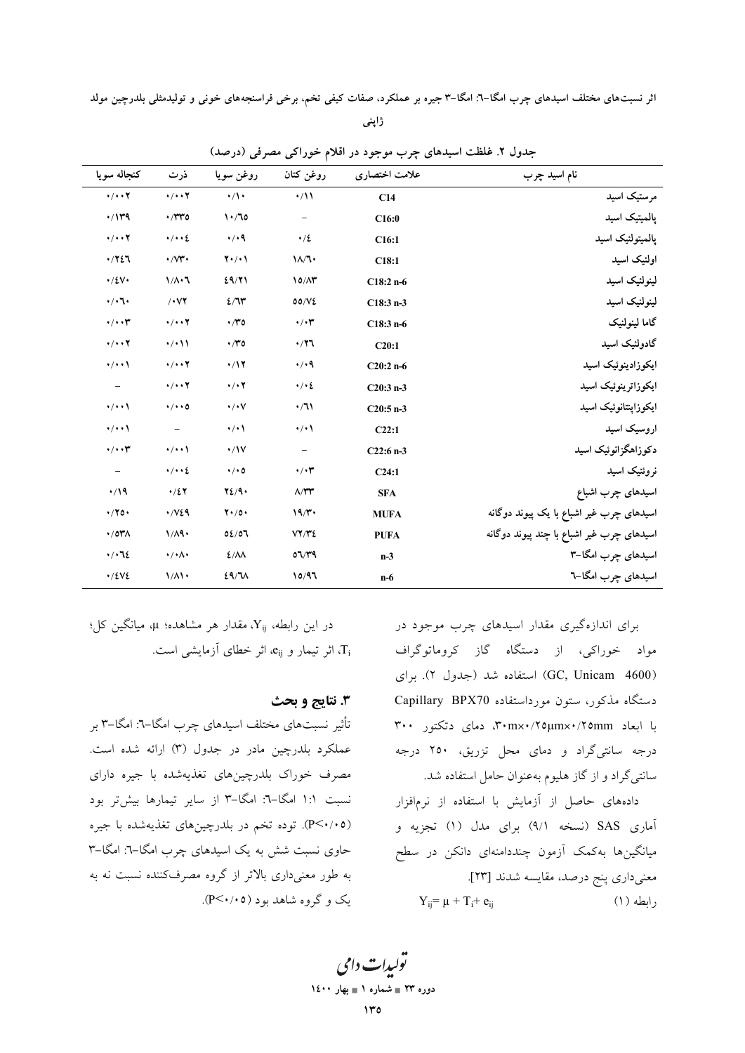ژاپنی

| كنجاله سويا                       | ذرت                             | روغن سويا                 | روغن كتان                  | علامت اختصاري | نام اسید چرب                              |
|-----------------------------------|---------------------------------|---------------------------|----------------------------|---------------|-------------------------------------------|
| $\cdot/\cdot\cdot\mathbf{Y}$      | $\cdot/\cdot\cdot$ $\mathbf{Y}$ | $\cdot/\cdot$             | $\cdot/11$                 | C14           | مرستیک اسید                               |
| $\cdot$ /1۳۹                      | $\cdot$ /۳۳٥                    | 1.70                      | $\qquad \qquad -$          | C16:0         | پالمیتیک اسید                             |
| $\cdot/\cdot\cdot$ $\overline{r}$ | $\cdot / \cdot \cdot 2$         | $\cdot/$ .9               | $\cdot/2$                  | C16:1         | پالمېتولئيک اسيد                          |
| .7727                             | $\cdot$ / $\vee\mathfrak{r}$ .  | $Y \cdot / \cdot Y$       | $1/\sqrt{1}$               | C18:1         | اولئيک اسيد                               |
| $\cdot/2V$                        | $1/\lambda \cdot 7$             | 29/71                     | 10/N                       | $C18:2n-6$    | لينولئيک اسيد                             |
| $\cdot/\cdot7\cdot$               | $/$ $\vee$ $\vee$               | 2/T                       | 00/VE                      | $C18:3n-3$    | لينولنيک اسيد                             |
| $\cdot/\cdot\cdot$ ۳              | $\cdot/\cdot\cdot$              | $\cdot$ /۳٥               | $\cdot/\cdot \tau$         | $C18:3n-6$    | گاما لينولنيک                             |
| $\cdot/\cdot\cdot$ $\mathbf{Y}$   | $\cdot$ / $\cdot$               | $\cdot$ /۳٥               | $\cdot$ /۲٦                | C20:1         | گادولئیک اسید                             |
| $\cdot/\cdot\cdot$                | $\cdot/\cdot\cdot\mathbf{Y}$    | $\cdot/17$                | $\cdot$ / $\cdot$ 9        | $C20:2n-6$    | ايكوزادينوئيك اسيد                        |
|                                   | $\cdot/\cdot\cdot\mathbf{Y}$    | $\cdot$ / $\cdot$ $\cdot$ | $\cdot / \cdot 2$          | $C20:3n-3$    | ايكوزاترينوئيك اسيد                       |
| $\cdot/\cdot\cdot$                | $\cdot/\cdot\cdot$ 0            | $\cdot/\cdot\vee$         | $\cdot/3$                  | $C20:5 n-3$   | ايكوزاپنتانوئيک اسيد                      |
| $\cdot/\cdot\cdot$                | $\equiv$                        | $\cdot/\cdot$             | $\cdot/\cdot$              | C22:1         | اروسیک اسید                               |
| $\cdot/\cdot\cdot$ ۳              | $\cdot$ / $\cdot$               | $\cdot/1V$                | $\overline{\phantom{m}}$   | $C22:6n-3$    | دکوزاهگزانوئیک اسید                       |
| $\overline{\phantom{a}}$          | $\cdot / \cdot \cdot 2$         | $\cdot/\cdot$ 0           | $\cdot/\cdot \tau$         | C24:1         | نروئنيک اسيد                              |
| $\cdot/19$                        | $\cdot/27$                      | YZ/9.                     | $\Lambda/\Upsilon\Upsilon$ | <b>SFA</b>    | اسیدهای چرب اشباع                         |
| $\cdot$ /۲٥۰                      | $\cdot$ / $\vee$ 29             | $Y \cdot / 0 \cdot$       | 19/r                       | <b>MUFA</b>   | اسیدهای چرب غیر اشباع با یک پیوند دوگانه  |
| $\cdot$ /0۳ $\wedge$              | 1/A9.                           | 02/07                     | VY/YZ                      | <b>PUFA</b>   | اسیدهای چرب غیر اشباع با چند پیوند دوگانه |
| $\cdot / \cdot 72$                | $\cdot/\cdot \wedge \cdot$      | $2/\lambda\lambda$        | 07/T9                      | $n-3$         | اسیدهای چرب امگا-۳                        |
| $\cdot$ /٤٧٤                      | $1/\Lambda$                     | 29/11                     | 10/97                      | $n-6$         | اسیدهای چرب امگا-٦                        |

جدول ۲. غلظت اسیدهای چرب موجود در اقلام خوراکی مصرفی (درصد)

برای اندازهگیری مقدار اسیدهای چرب موجود در مواد خوراکی، از دستگاه گاز کروماتوگراف (GC, Unicam 4600) استفاده شد (جدول ۲). برای دستگاه مذکور، ستون مورداستفاده Capillary BPX70 با ابعاد ٣٠١x٠/٢٥μmx٠/٢٥mm، دمای دتکتور ٣٠٠ درجه سانتی گراد و دمای محل تزریق، ۲۵۰ درجه سانتی گراد و از گاز هلیوم بهعنوان حامل استفاده شد.

دادههای حاصل از آزمایش با استفاده از نرمافزار آماری SAS (نسخه ۹/۱) برای مدل (۱) تجزیه و میانگینها بهکمک آزمون چنددامنهای دانکن در سطح معنى دارى پنج درصد، مقايسه شدند [٢٣].  $Y_{ii} = \mu + T_i + e_{ii}$ رابطه (۱)

در این رابطه، X<sub>ij</sub>، مقدار هر مشاهده؛ µ، میانگین کل؛ اثر تیمار و e<sub>ii،</sub> اثر خطای آزمایشی است. T<sub>i</sub>

#### 3. نتايج و بحث

تأثیر نسبتهای مختلف اسیدهای چرب امگا–٦: امگا–٣ بر عملکرد بلدرچین مادر در جدول (۳) ارائه شده است. مصرف خوراک بلدرچینهای تغذیهشده با جیره دارای نسبت ۱:۱ امگا-٦: امگا-٣ از سایر تیمارها بیشتر بود (P<۰/۰۵). توده تخم در بلدرچینهای تغذیهشده با جیره حاوی نسبت شش به یک اسیدهای چرب امگا-٦: امگا-٣ به طور معنیداری بالاتر از گروه مصرفکننده نسبت نه به یک و گروه شاهد بود (P<۰/۰۵).

> يولېدا**ت** دامې دوره ۲۳ = شماره ۱ = بهار ۱٤۰۰  $\mathbf{v}$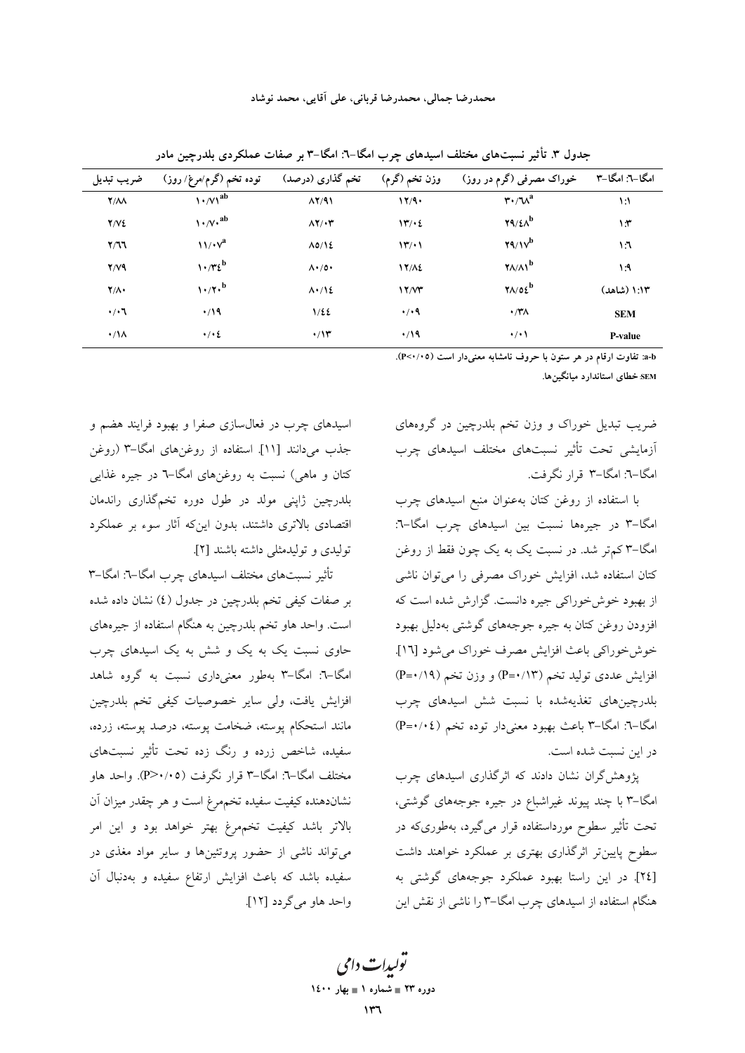| ضريب تبديل         | توده تخم (گرم/مرغ/ روز)           | تخم گذاری (درصد)                | وزن تخم (گرم)                          | خوراک مصرفی (گرم در روز)                          | امگا–۲: امگا–۳ |
|--------------------|-----------------------------------|---------------------------------|----------------------------------------|---------------------------------------------------|----------------|
| $Y/\Lambda\Lambda$ | $\left(\sqrt{v}\right)^{ab}$      | $\Lambda$ Y/91                  | 17/9.                                  | $\mathbf{r} \cdot \mathbf{v}^a$                   | $\mathcal{N}$  |
| Y/VE               | $\sqrt{\sqrt{v}}$ , ab            | $\Lambda$ Y/ $\cdot$ ۳          | 14/2                                   | $\mathbf{Y}^{\mathbf{q}}/\mathbf{M}^{\mathbf{b}}$ | $\lambda$      |
| Y/T                | $\mathcal{W} \cdot \mathcal{V}^a$ | $\Lambda$ 0/12                  | $\mathcal{N}' \rightarrow \mathcal{N}$ | $Y_1/\V^b$                                        | ۱٦             |
| $Y/Y$ ۹            | $\gamma \cdot \pi_{\xi}$          | $\Lambda \cdot / \sigma \cdot$  | <b>17/12</b>                           | $\gamma$ <sub>A</sub> $\land$                     | $\lambda$ :۹   |
| $Y/\Lambda$        | $1.77 \cdot b$                    | $\Lambda$ $\cdot$ / $\Lambda$ 2 | 17/Y                                   | $\gamma$ 1/02                                     | ۱:۱۳ (شاهد)    |
| $\cdot/\cdot$ ٦    | $\cdot$ /19                       | 1/22                            | $\cdot/$ .9                            | $\cdot$ /۳۸                                       | <b>SEM</b>     |
| $\cdot/\Lambda$    | $\cdot/\cdot$ 2                   | $\cdot$ /۱۳                     | $\cdot$ /19                            | $\cdot/\cdot$                                     | <b>P-value</b> |

جدول ٣. تأثیر نسبتهای مختلف اسیدهای چرب امگا–٦: امگا–٣ بر صفات عملکردی بلدرچین مادر

a-b: تفاوت ارقام در هر ستون با حروف نامشابه معنىدار است (P<٠/٠٥).

SEM خطای استاندارد میانگینها.

ضریب تبدیل خوراک و وزن تخم بلدرچین در گروههای آزمایشی تحت تأثیر نسبتهای مختلف اسیدهای چرب امگا–٦: امگا–٣ قرار نگرفت.

با استفاده از روغن كتان بهعنوان منبع اسيدهاى چرب امگا-۳ در جیرهها نسبت بین اسیدهای چرب امگا-٦: امگا–۳ کم تر شد. در نسبت یک به یک چون فقط از روغن كتان استفاده شد، افزايش خوراك مصرفي را مي توان ناشي از بهبود خوش خوراکی جیره دانست. گزارش شده است که افزودن روغن کتان به جیره جوجههای گوشتی بهدلیل بهبود خوش خوراكي باعث افزايش مصرف خوراك مي شود [١٦]. افزایش عددی تولید تخم (۱۳/۰+P) و وزن تخم (۱۹/۰=P) بلدرچینهای تغذیهشده با نسبت شش اسیدهای چرب امگا–٦: امگا–٣ باعث بهبود معنیدار توده تخم (٤/٠٤-P) در این نسبت شده است.

یژوهش گران نشان دادند که اثرگذاری اسیدهای چرب امگا–۳ با چند پیوند غیراشباع در جیره جوجههای گوشتی، تحت تأثیر سطوح مورداستفاده قرار میگیرد، بهطوریکه در سطوح پایین تر اثرگذاری بهتری بر عملکرد خواهند داشت [٢٤]. در این راستا بهبود عملکرد جوجههای گوشتی به هنگام استفاده از اسیدهای چرب امگا–۳ را ناشی از نقش این

اسیدهای چرب در فعال سازی صفرا و بهبود فرایند هضم و جذب می دانند [۱۱]. استفاده از روغنهای امگا-۳ (روغن کتان و ماهی) نسبت به روغنهای امگا–۲ در جیره غذایی بلدرچین ژاپنی مولد در طول دوره تخمگذاری راندمان اقتصادی بالاتری داشتند، بدون اینکه آثار سوء بر عملکرد توليدي و توليدمثلي داشته باشند [٢].

تأثير نسبتهاى مختلف اسيدهاى چرب امگا-٦: امگا-٣ بر صفات کیفی تخم بلدرچین در جدول (٤) نشان داده شده است. واحد هاو تخم بلدرچین به هنگام استفاده از جیرههای حاوی نسبت یک به یک و شش به یک اسیدهای چرب امگا–٦: امگا–٣ بهطور معنیداری نسبت به گروه شاهد افزایش یافت، ول<sub>ی</sub> سایر خصوصیات کیفی تخم بلدرچین مانند استحكام يوسته، ضخامت يوسته، درصد يوسته، زرده، سفیده، شاخص زرده و رنگ زده تحت تأثیر نسبتهای مختلف امگا–٦: امگا–٣ قرار نگرفت (٣>٠/٠٥). واحد هاو .<br>نشاندهنده کیفیت سفیده تخمهرغ است و هر چقدر میزان آن .<br>بالاتر باشد کیفیت تخمهرغ بهتر خواهد بود و این امر می تواند ناشی از حضور پروتئینها و سایر مواد مغذی در سفیده باشد که باعث افزایش ارتفاع سفیده و بهدنبال آن واحد هاو مي گردد [١٢].

> تولیدات دامی دوره ۲۳ = شماره ۱ = بهار ۱٤۰۰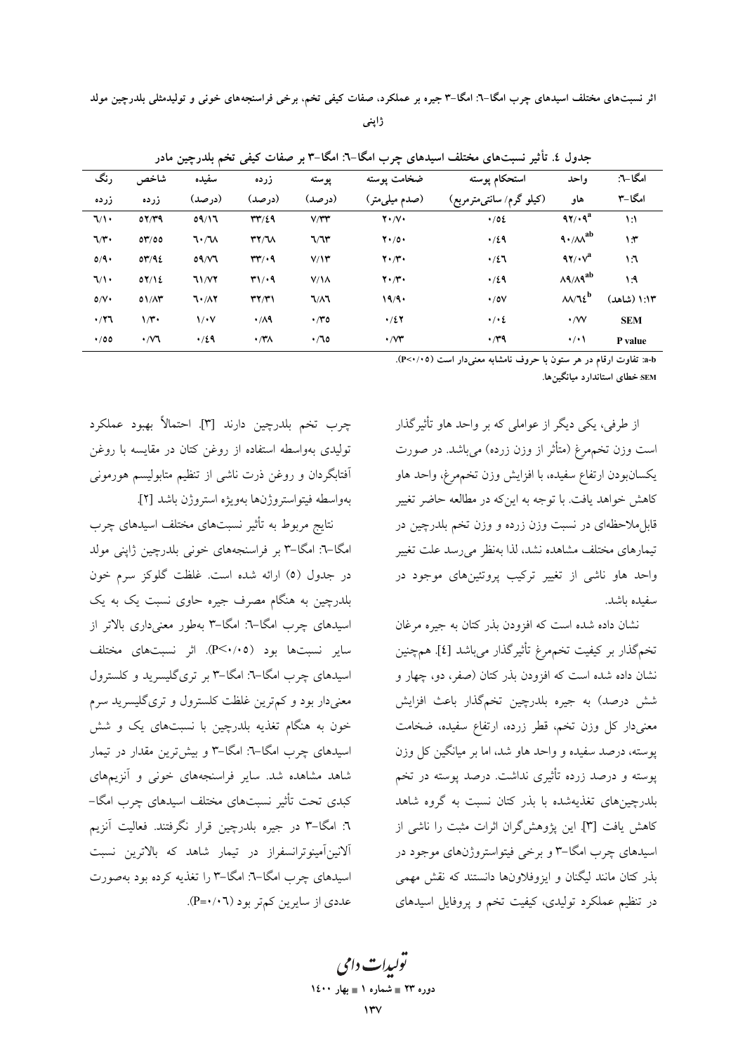ژاپنی

| رنگ         | شاخص             | سفيده            | زرده                                 | پوسته        | ضخامت پوسته                | استحكام پوسته            | واحد                                   | امگا–٦:       |
|-------------|------------------|------------------|--------------------------------------|--------------|----------------------------|--------------------------|----------------------------------------|---------------|
| زرده        | زرده             | (درصد)           | (درصد)                               | (در صد)      | (صدم میلیٖمتر)             | (کیلو گرم/ سانتیمترمربع) | هاو                                    | امگا-۳        |
| $\sqrt{1}$  | 07/T9            | 09/17            | rr/29                                | V/YY         | $Y \cdot / V \cdot$        | 4/02                     | $97/19^a$                              | $\mathcal{N}$ |
| $7/r$ .     | OY/OO            | 7.7 <sub>M</sub> | YY/W                                 | 7/7r         | $Y \cdot / 0 \cdot$        | $\cdot/29$               | $4 \cdot / \lambda \lambda^{ab}$       | $\mathcal{N}$ |
| O/9         | OY/92            | 09/Y             | rr/4                                 | V/Y          | $Y \cdot / Y \cdot$        | $\cdot/27$               | $97/\sqrt{a}$                          | $\mathcal{N}$ |
| $\sqrt{1}$  | OY/YE            | <b>71/VY</b>     | T1/19                                | $V/\lambda$  | $Y \cdot / Y \cdot$        | $\cdot$ /29              | $\lambda$ 9/ $\lambda$ 9 <sup>ab</sup> | $\mathsf{A}$  |
| O/V         | $01/\Lambda$ ۳   | ٦٠/٨٢            | $\mathbf{r} \mathbf{y} / \mathbf{r}$ | $1/\lambda$  | 19/9.                      | $\cdot$ / 0 $\vee$       | $\lambda\lambda/\lambda\epsilon^b$     | ۱:۱۳ (شاهد)   |
| $\cdot$ /۲٦ | $1/\tau$         | $\sqrt{\cdot}$   | $\cdot$ /19                          | $\cdot$ ro   | $\cdot/27$                 | $\cdot/\cdot\zeta$       | $\cdot$ /VV                            | <b>SEM</b>    |
| $\cdot$ /00 | $\cdot$ / $\vee$ | $\cdot$ /29      | $\cdot$ /۳۸                          | $\cdot$ / 10 | $\cdot$ / $\vee\mathbf{r}$ | $\cdot$ / $4$            | $\cdot/\cdot$                          | P value       |

جدول ٤. تأثیر نسبتهای مختلف اسیدهای چرب امگا–٦: امگا–٣ بر صفات کیفی تخم بلدرچین مادر

a-b: تفاوت ارقام در هر ستون با حروف نامشابه معنى دار است (٣<٠/٠٥).

SEM خطای استاندارد میانگینها.

از طرفی، یکی دیگر از عواملی که بر واحد هاو تأثیرگذار است وزن تخمهمرغ (متأثر از وزن زرده) می باشد. در صورت يكسانبودن ارتفاع سفيده، با افزايش وزن تخمهرغ، واحد هاو كاهش خواهد يافت. با توجه به اينكه در مطالعه حاضر تغيير قابلِملاحظهای در نسبت وزن زرده و وزن تخم بلدرچین در تیمارهای مختلف مشاهده نشد، لذا بهنظر می رسد علت تغییر واحد هاو ناشی از تغییر ترکیب پروتئینهای موجود در سفىدە ياشد.

نشان داده شده است که افزودن بذر کتان به جیره مرغان تخمگذار بر کیفیت تخمهرغ تأثیرگذار میباشد [٤] همچنین نشان داده شده است که افزودن بذر کتان (صفر، دو، چهار و شش درصد) به جیره بلدرچین تخمگذار باعث افزایش معنىدار كل وزن تخم، قطر زرده، ارتفاع سفيده، ضخامت پوسته، درصد سفیده و واحد هاو شد، اما بر میانگین کل وزن پوسته و درصد زرده تأثیری نداشت. درصد پوسته در تخم بلدرچینهای تغذیهشده با بذر کتان نسبت به گروه شاهد كاهش يافت [٣]. اين يژوهش گران اثرات مثبت را ناشى از اسیدهای چرب امگا–۳ و برخی فیتواستروژنهای موجود در بذر كتان مانند ليگنان و ايزوفلاونها دانستند كه نقش مهمي در تنظیم عملکرد تولیدی، کیفیت تخم و پروفایل اسیدهای

چرب تخم بلدرچین دارند [۳]. احتمالاً بهبود عملکرد تولیدی بهواسطه استفاده از روغن کتان در مقایسه با روغن ۔<br>اَفتابگردان و روغن ذرت ناشی از تنظیم متابولیسم هورمونی بهواسطه فيتواستروژنها بهويژه استروژن باشد [٢].

نتایج مربوط به تأثیر نسبتهای مختلف اسیدهای چرب امگا–٦: امگا–٣ بر فراسنجههای خونی بلدرچین ژاپنی مولد در جدول (٥) ارائه شده است. غلظت گلوکز سرم خون بلدرچین به هنگام مصرف جیره حاوی نسبت یک به یک اسیدهای چرب امگا–۳: امگا–۳ بهطور معنیداری بالاتر از سایر نسبتها بود (P<۰/۰۵). اثر نسبتهای مختلف اسیدهای چرب امگا-٦: امگا-٣ بر تریگلیسرید و کلسترول معنیدار بود و کم ترین غلظت کلسترول و تریگلیسرید سرم خون به هنگام تغذیه بلدرچین با نسبتهای یک و شش اسیدهای چرب امگا-۳: امگا-۳ و بیشترین مقدار در تیمار شاهد مشاهده شد. سایر فراسنجههای خونی و آنزیمهای کبدی تحت تأثیر نسبتهای مختلف اسیدهای چرب امگا– ٦: امگا–٣ در جيره بلدرچين قرار نگرفتند. فعاليت آنزيم آلانینآمینوترانسفراز در تیمار شاهد که بالاترین نسبت اسیدهای چرب امگا–۳: امگا–۳ را تغذیه کرده بود بهصورت عددي از سايرين كمتر بود (P=٠/٠٦).

يولېدا**ت** دامې دوره ۲۳ = شماره ۱ = بهار ۱٤۰۰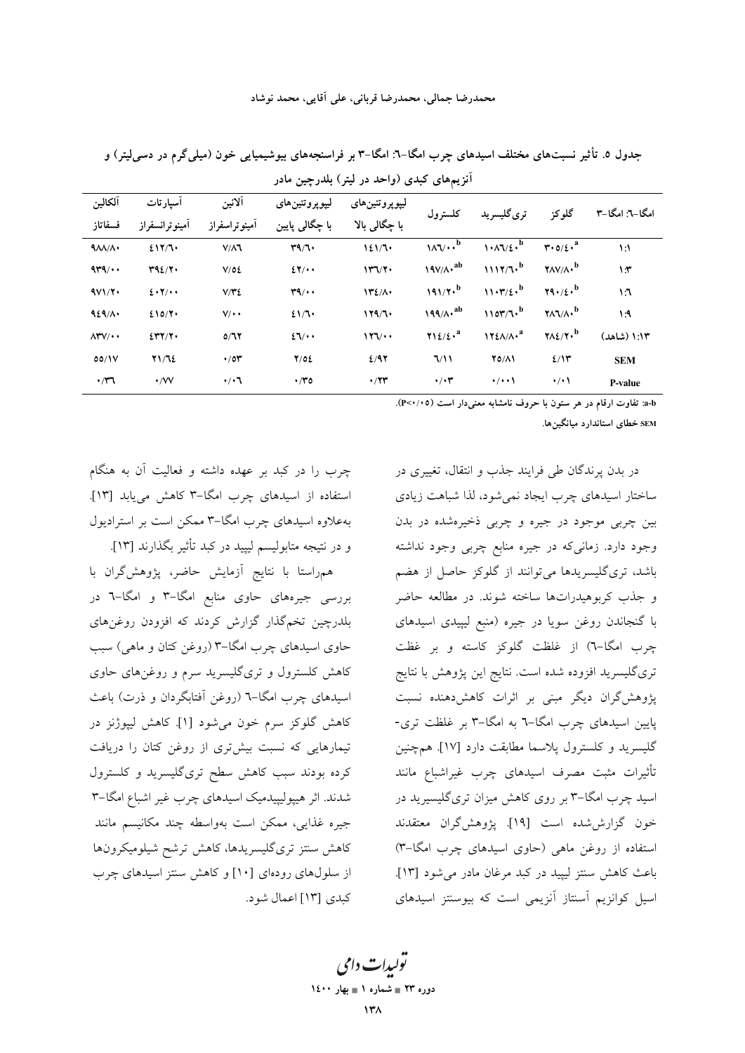| آلكالين               | أسيارتات       | آلانين        | ليپوپروتئينهای             | ليپوپروتئينهای            | كلسترول                                             | ترى گليسريد         | گلوکز                                                       | امگا–۳: امگا–۳ |
|-----------------------|----------------|---------------|----------------------------|---------------------------|-----------------------------------------------------|---------------------|-------------------------------------------------------------|----------------|
| فسفاتاز               | أمينوترانسفراز | آمينوتراسفراز | با چگال <sub>ی</sub> پایین | با چگال <sub>ی</sub> بالا |                                                     |                     |                                                             |                |
| $\Lambda/\Lambda$     | 217/7.         | $V/\Lambda$   | r9/7                       | 121/7                     | $\mathcal{W} \rightarrow b$                         | $1.1\sqrt{2}$       | $\mathbf{r} \cdot \mathbf{0}/\mathbf{\xi} \cdot \mathbf{a}$ | $\mathcal{N}$  |
| 449/44                | T92/T          | V/OE          | $2\pi/4$                   | 147/7                     | $19V/A \cdot ^{ab}$                                 | 1117/7 <sup>b</sup> | $\gamma$ <sub>A</sub> $\gamma$ <sub>A</sub> , $^b$          | $\mathcal{X}$  |
| 4V1/Y                 | 2.7/4.4        | V/YZ          | $r_1 \cdots$               | $172/\Lambda$             | $191/7 \cdot b$                                     | 11.7/5.             | $\mathbf{Y}_1 \cdot \mathbf{X}_2$                           | $\mathsf{M}$   |
| 929/1                 | 210/Y          | $V/\cdot$     | 21/7                       | 179/7                     | $199/A \cdot ^{ab}$                                 | 1107/7.             | $Y\Lambda V/\Lambda V^b$                                    | $\mathcal{A}$  |
| $\Lambda$ ۳۷/ $\cdot$ | 2577/7         | 0/77          | $2\sqrt{1}$                | 177/44                    | $Y\setminus \mathcal{L}/\mathcal{L}$ . <sup>a</sup> | $172A/A \cdot a$    | $Y\wedge Z/Y \cdot$                                         | ۱:۱۳ (شاهد)    |
| 00/1V                 | Y1/T2          | $\cdot$ /0۳   | Y/OE                       | 2/97                      | 7/11                                                | 70/11               | 2/15                                                        | <b>SEM</b>     |
| $\cdot$ / $\tau$      | $\cdot$ /VV    | $\cdot/\cdot$ | $\cdot$ ro                 | $\cdot$ /۲۳               | $\cdot/\cdot \tau$                                  | $\cdot/\cdot\cdot$  | $\cdot/\cdot$                                               | <b>P-value</b> |

جدول ۵. تأثیر نسبتهای مختلف اسیدهای چرب امگا–٦: امگا–٣ بر فراسنجههای بیوشیمیایی خون (میلیگرم در دسی[یتر) و آنزیههای کیدی (واحد در لیتر) بلدرجین مادر

a-b: تفاوت ارقام در هر ستون با حروف نامشابه معنى دار است (٣<٠/٠٥).

SEM خطای استاندارد میانگینها.

در بدن پرندگان طی فرایند جذب و انتقال، تغییری در ساختار اسیدهای چرب ایجاد نمی شود، لذا شباهت زیادی بین چربی موجود در جیره و چربی ذخیرهشده در بدن وجود دارد. زمانیکه در جیره منابع چربی وجود نداشته باشد، تری گلیسریدها می توانند از گلوکز حاصل از هضم و جذب كربوهيدراتها ساخته شوند. در مطالعه حاضر با گنجاندن روغن سویا در جیره (منبع لیپیدی اسیدهای چرب امگا-٦) از غلظت گلوکز کاسته و بر غظت تریگلیسرید افزوده شده است. نتایج این پژوهش با نتایج پژوهش گران دیگر مبنی بر اثرات کاهشدهنده نسبت پایین اسیدهای چرب امگا-٦ به امگا-٣ بر غلظت تری-گلیسرید و کلسترول پلاسما مطابقت دارد [۱۷]. همچنین .<br>تأثیرات مثبت مصرف اسیدهای چرب غیراشباع مانند اسید چرب امگا–۳ بر روی کاهش میزان تریگلیسیرید در خون گزارششده است [۱۹]. يژوهش2ران معتقدند استفاده از روغن ماهی (حاوی اسیدهای چرب امگا–۳) باعث كاهش سنتز ليبيد در كبد مرغان مادر مى شود [١٣]. اسیل کوانزیم آسنتاز آنزیمی است که بیوسنتز اسیدهای

چرب را در کبد بر عهده داشته و فعالیت آن به هنگام استفاده از اسیدهای چرب امگا-۳ کاهش می یابد [۱۳]. بهعلاوه اسیدهای چرب امگا-۳ ممکن است بر استرادیول و در نتیجه متابولیسم لیپید در کبد تأثیر بگذارند [۱۳].

همراستا با نتايج آزمايش حاضر، يژوهش گران با بررسی جیرههای حاوی منابع امگا-۳ و امگا-٦ در بلدرچین تخمگذار گزارش کردند که افزودن روغنهای حاوی اسیدهای چرب امگا–۳ (روغن کتان و ماهی) سبب کاهش کلسترول و تریگلیسرید سرم و روغنهای حاوی اسیدهای چرب امگا–٦ (روغن آفتابگردان و ذرت) باعث كاهش گلوكز سرم خون مى شود [۱]. كاهش ليپوژنز در تیمارهایی که نسبت بیشتری از روغن کتان را دریافت کرده بودند سبب کاهش سطح تریگلیسرید و کلسترول شدند. اثر هیپولیپیدمیک اسیدهای چرب غیر اشباع امگا–۳ .<br>جيره غذايي، ممكن است بهواسطه چند مكانيسم مانند كاهش سنتز ترىگليسريدها، كاهش ترشح شيلوميكرونها از سلولهای رودهای [۱۰] و کاهش سنتز اسیدهای چرب كيدي [١٣] اعمال شود.

توں ات دامی دوره ۲۳ = شماره ۱ = بهار ۱٤۰۰ ۱۳۸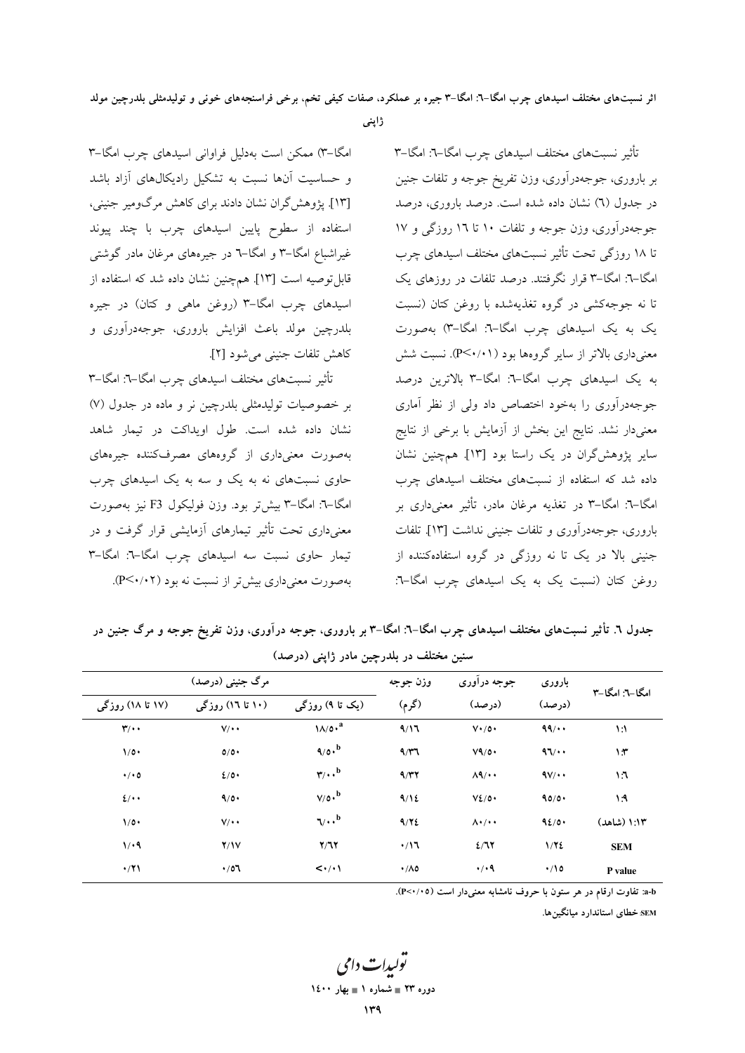اثر نسبت۱های مختلف اسیدهای جرب امگا–٦: امگا–٣ جیره بر عملکرد، صفات کیفی تخم، برخی فراسنجههای خونی و تولیدمثلی بلدرچین مولد

ژاپنی

امگا-۳) ممکن است بهدلیل فراوانی اسیدهای چرب امگا-۳ و حساسیت آنها نسبت به تشکیل رادیکالهای آزاد باشد [۱۳]. پژوهش گران نشان دادند برای کاهش مرگومیر جنینی، استفاده از سطوح پایین اسیدهای چرب با چند پیوند غیراشباع امگا–۳ و امگا–٦ در جیرههای مرغان مادر گوشتی قابل توصيه است [١٣]. همچنين نشان داده شد كه استفاده از اسیدهای چرب امگا-۳ (روغن ماهی و کتان) در جیره بلدرچين مولد باعث افزايش باروري، جوجهدرآوري و كاهش تلفات جنيني مي شود [٢].

تأثیر نسبتهای مختلف اسیدهای چرب امگا–٦: امگا–٣ بر خصوصیات تولیدمثلی بلدرچین نر و ماده در جدول (۷) نشان داده شده است. طول اویداکت در تیمار شاهد بهصورت معنیداری از گروههای مصرفکننده جیرههای حاوی نسبتهای نه به یک و سه به یک اسیدهای چرب امگا-٦: امگا-٣ بيشتر بود. وزن فوليكول F3 نيز بهصورت معنیداری تحت تأثیر تیمارهای آزمایشی قرار گرفت و در تیمار حاوی نسبت سه اسیدهای چرب امگا-٦: امگا-٣ بهصورت معنى دارى بيش تر از نسبت نه بود (٢٠/٠٢). تأثیر نسبتهای مختلف اسیدهای چرب امگا–۳: امگا–۳ بر باروری، جوجهدرآوری، وزن تفریخ جوجه و تلفات جنین در جدول (٦) نشان داده شده است. درصد باروري، درصد جوجه درآوري، وزن جوجه و تلفات ۱۰ تا ۱۲ روزگي و ۱۷ تا ۱۸ روزگی تحت تأثیر نسبتهای مختلف اسیدهای چرب امگا-٦: امگا-٣ قرار نگرفتند. درصد تلفات در روزهای یک تا نه جوجهکشی در گروه تغذیهشده با روغن کتان (نسبت یک به یک اسیدهای چرب امگا-٦: امگا-٣) بهصورت معنی داری بالاتر از سایر گروهها بود (P<۰/۰۱). نسبت شش به یک اسیدهای چرب امگا-٦: امگا-٣ بالاترین درصد جوجهدرآوری را بهخود اختصاص داد ولی از نظر آماری معنیدار نشد. نتایج این بخش از آزمایش با برخی از نتایج سایر یژوهشگران در یک راستا بود [۱۳]. همچنین نشان داده شد که استفاده از نسبتهای مختلف اسیدهای چرب امگا–٦: امگا–٣ در تغذیه مرغان مادر، تأثیر معنیداری بر باروري، جوجهدرآوري و تلفات جنيني نداشت [١٣]. تلفات جنینی بالا در یک تا نه روزگی در گروه استفادهکننده از روغن کتان (نسبت یک به یک اسیدهای چرب امگا-٦:

جدول ٦. تأثیر نسبتهای مختلف اسیدهای چرب امگا–٦: امگا–٣ بر باروری، جوجه درآوری، وزن تفریخ جوجه و مرگ جنین در سنین مختلف در بلدرچین مادر ژاپنی (درصد)

|                         | مرگ جنینی (درصد) |                                       | وزن جوجه          | جوجه درآوري          | باروری     | امگا-٦: امگا-٣ |
|-------------------------|------------------|---------------------------------------|-------------------|----------------------|------------|----------------|
| (۱۷ تا ۱۸) روزگی        | (۱۰ تا ۱٦) روزگی | (یک تا ۹) روزگی                       | (گرم)             | (درصد)               | (درصد)     |                |
| $\mathbf{r}/\cdot\cdot$ | $V/\cdot$        | $\lambda/\rho \cdot^a$                | 9/17              | $V\cdot$ /0.         | 99/        | $\mathcal{N}$  |
| $1/0$ .                 | 0/0              | $9/0 \cdot b$                         | $4/\gamma$        | V9/0                 | 41/44      | ۱۳             |
| $\cdot$ / $\cdot$ 0     | 2/0              | $\mathbf{r}/\cdot \cdot$ <sup>b</sup> | 9/77              | $\Lambda$ 9/ $\cdot$ | 4V/4       | ۱٦             |
| 2/4                     | 9/0              | $V/O \cdot b$                         | 9/12              | $V\Sigma/O$          | 90/0       | ۱۹             |
| $1/\circ \cdot$         | $V/\cdot$        | $\nabla \cdot \cdot$ <sup>b</sup>     | 9/72              | $\Lambda$ . /        | 92/0.      | ۱:۱۳ (شاهد)    |
| 1/4                     | Y/Y              | Y/T                                   | $\cdot/17$        | 2/77                 | 1/72       | <b>SEM</b>     |
| $\cdot$ /71             | $\cdot$ /07      | $\langle \cdot/\cdot \rangle$         | $\cdot/\lambda$ 0 | $\cdot$ / $\cdot$ 9  | $\cdot$ 10 | P value        |
|                         |                  |                                       |                   |                      |            |                |

a-b: تفاوت ارقام در هر ستون با حروف نامشابه معنیدار است (P<۰/۰۵).

SEM خطای استاندارد میانگینها.

يولىدا**ت** دامى دوره ۲۳ = شماره ۱ = بهار ۱٤۰۰ ۷۳۹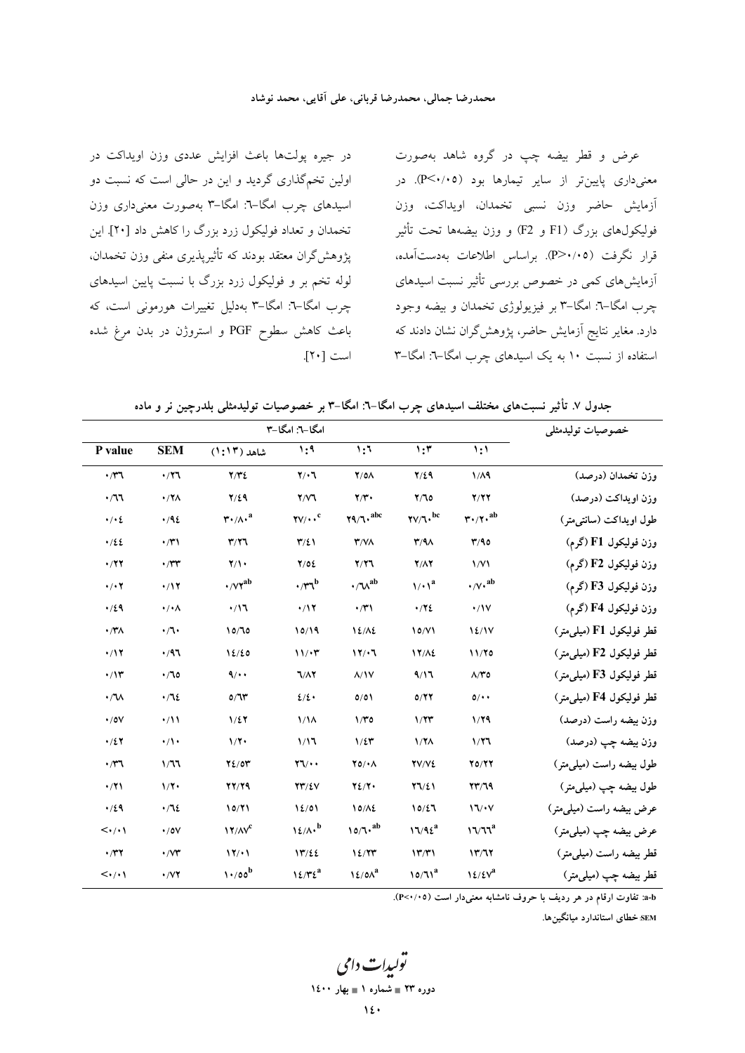در جیره پولتها باعث افزایش عددی وزن اویداکت در اولین تخمگذاری گردید و این در حالی است که نسبت دو اسیدهای چرب امگا-٦: امگا-٣ بهصورت معنی داری وزن تخمدان و تعداد فولیکول زرد بزرگ را کاهش داد [۲۰]. این یژوهش گران معتقد بودند که تأثیریذیری منفی وزن تخمدان، لوله تخم بر و فولیکول زرد بزرگ با نسبت پایین اسیدهای چرب امگا–٦: امگا–٣ بهدلیل تغییرات هورمونی است، که باعث کاهش سطوح PGF و استروژن در بدن مرغ شده است [٢٠].

عرض و قطر بیضه چپ در گروه شاهد بهصورت معنیداری پایینتر از سایر تیمارها بود (P<۰/۰۵). در آزمایش حاضر وزن نسبی تخمدان، اویداکت، وزن فوليكولهاي بزرگ (F1 و F2) و وزن بيضهها تحت تأثير قرار نگرفت (P>٠/٠٥). براساس اطلاعات بهدستآمده، آزمایش های کمی در خصوص بررسی تأثیر نسبت اسیدهای چرب امگا–٦: امگا–٣ بر فیزیولوژی تخمدان و بیضه وجود دارد. مغایر نتایج آزمایش حاضر، پژوهشگران نشان دادند که استفاده از نسبت ۱۰ به یک اسیدهای چرب امگا-۳: امگا-۳

جدول ۷. تأثیر نسبتهای مختلف اسیدهای چرب امگا–٦: امگا–٣ بر خصوصیات تولیدمثلی بلدرچین نر و ماده

|                                 |                          | خصوصيات توليدمثلي                             |                                                  |                                  |                                                                  |                                                            |                                       |
|---------------------------------|--------------------------|-----------------------------------------------|--------------------------------------------------|----------------------------------|------------------------------------------------------------------|------------------------------------------------------------|---------------------------------------|
| P value                         | <b>SEM</b>               | شاهد (۱۳:۱۳)                                  | 1:9                                              | 1:1                              | $\overline{\mathbf{u}}$                                          | 1:1                                                        |                                       |
| $\cdot \pi$                     | $\cdot$ /۲٦              | Y/YZ                                          | $Y/\cdot 7$                                      | $Y/O\Lambda$                     | $Y/\xi$ 9                                                        | 1/A9                                                       | وزن تخمدان (درصد)                     |
| $\cdot$ / $\sqrt{1}$            | $\cdot$ /۲۸              | $Y/\xi$ ٩                                     | Y/Y                                              | $\mathbf{Y}/\mathbf{Y}$          | Y/T                                                              | Y/YY                                                       | وزن اويداكت (درصد)                    |
| $\cdot$ / $\cdot$ 2             | $\cdot$ /92              | $\mathbf{r} \cdot / \Lambda \cdot \mathbf{a}$ | $\mathbf{Y} \mathbf{V} / \cdot \cdot \mathbf{C}$ | $\mathbf{Y}$ 9/7. <sup>abc</sup> | $\mathbf{Y} \mathbf{V} / \mathbf{V} \cdot \mathbf{P}^{\text{c}}$ | $\mathbf{r} \cdot \mathbf{r} \cdot \mathbf{a}^{\text{ab}}$ | طول اويداكت (سانتي متر)               |
| .122                            | $\cdot$ /۳۱              | Y/Y                                           | $\Upsilon/\Sigma$                                | $Y/N\Lambda$                     | $\mathbf{r}/\mathbf{A}$                                          | Y/90                                                       | وزن فوليكول F1 (گرم)                  |
| $\cdot$ /٢٢                     | $\cdot$ /۳۳              | $\mathbf{Y}/\mathbf{V}$                       | 7/02                                             | Y/Y                              | $Y/\Lambda Y$                                                    | $\sqrt{V}$                                                 | وزن فوليكول F2 (گرم)                  |
| $\cdot$ / $\cdot$ $\cdot$       | $\cdot/17$               | $\cdot$ / $\mathsf{Y}^{\text{ab}}$            | $\cdot$ / $\mathbf{r}^{\mathrm{b}}$              | $\cdot/\mathcal{N}^{ab}$         | $1/\cdot$ $\lambda^a$                                            | $\cdot/\sqrt{v}$ , ab                                      | وزن فوليكول F3 (گرم)                  |
| .129                            | $\cdot/\cdot \wedge$     | $\cdot/17$                                    | $\cdot/17$                                       | $\cdot$ /۳۱                      | .772                                                             | $\cdot/1V$                                                 | وزن فوليكول F4 (گرم)                  |
| $\cdot$ /۳۸                     | $\cdot/\mathcal{L}$      | 10/70                                         | 10/19                                            | $12/\lambda$                     | 10/Y1                                                            | 12/1V                                                      | قطر فوليكول F1 (ميل <sub>ى</sub> متر) |
| $\cdot$ /۱۲                     | $\cdot$ /97              | 12/20                                         | $11/\cdot$ ۳                                     | 17/17                            | $17/\lambda$                                                     | 11/70                                                      | قطر فوليكول F2 (ميل <sub>ى</sub> متر) |
| $\cdot$ /۱۳                     | .70                      | $\mathbf{A}/\mathbf{A}$                       | $7/\Lambda$                                      | $\Lambda/\gamma\gamma$           | 9/17                                                             | $\Lambda/\Upsilon$ o                                       | قطر فوليكول F3 (ميلم متر)             |
| $\cdot /N$                      | $\cdot$ / $\sqrt{2}$     | 0/T                                           | 2/2                                              | 0/01                             | 0/77                                                             | $0$ / $\cdot$                                              | قطر فوليكول F4 (ميل <sub>ى</sub> متر) |
| $\cdot$ /0V                     | $\cdot/11$               | $1/\xi$                                       | $1/\lambda$                                      | 1/T0                             | 1/77                                                             | 1/79                                                       | وزن بیضه راست (درصد)                  |
| $\cdot/27$                      | $\cdot/\prime$           | 1/7                                           | 1/17                                             | $1/\epsilon r$                   | 1/7 <sub>A</sub>                                                 | 1/77                                                       | وزن بيضه چپ (درصد)                    |
| $\cdot$ r                       | 1/77                     | Y2/0Y                                         | $\forall \forall \cdot \cdot$                    | $Y0/\cdot \Lambda$               | YV/VE                                                            | Y0/YY                                                      | طول بیضه راست (میلی متر)              |
| $\cdot$ /۲۱                     | $1/\mathbf{Y}$           | 77/79                                         | $YY/\Sigma V$                                    | Y2/Y                             | 77/21                                                            | YY/T9                                                      | طول بيضه چپ (ميل <sub>ى</sub> متر)    |
| .129                            | .712                     | 10/71                                         | 12/01                                            | $10/\lambda$                     | 10/27                                                            | 17/14                                                      | عرض بیضه راست (میلم متر)              |
| $\langle \cdot/\cdot \rangle$   | $\cdot$ / o $\vee$       | 17/N <sup>c</sup>                             | $12/\Lambda \cdot b$                             | $10/7 \cdot ab$                  | $17/92^a$                                                        | 17/T <sup>a</sup>                                          | عرض بيضه چپ (ميليءتر)                 |
| $\cdot$ /۳۲                     | $\cdot$ / $\vee\uparrow$ | 17/11                                         | 17/22                                            | 12/77                            | $\mathcal{N}(\mathcal{K})$                                       | 17/77                                                      | قطر بيضه راست (ميلي متر)              |
| $\langle \cdot / \cdot \rangle$ | $\cdot$ / $\vee$ $\vee$  | 1.700                                         | $12/T2^a$                                        | 12/0 <sup>a</sup>                | $10/71^a$                                                        | 12/5V <sup>a</sup>                                         | قطر بيضه چپ (ميليءتر)                 |

a-b: تفاوت ارقام در هر ردیف با حروف نامشابه معنیدار است (۰/۰۵).

SEM خطای استاندارد میانگینها.

يولېدا**ت** دامې دوره ۲۳ = شماره ۱ = بهار ۱٤۰۰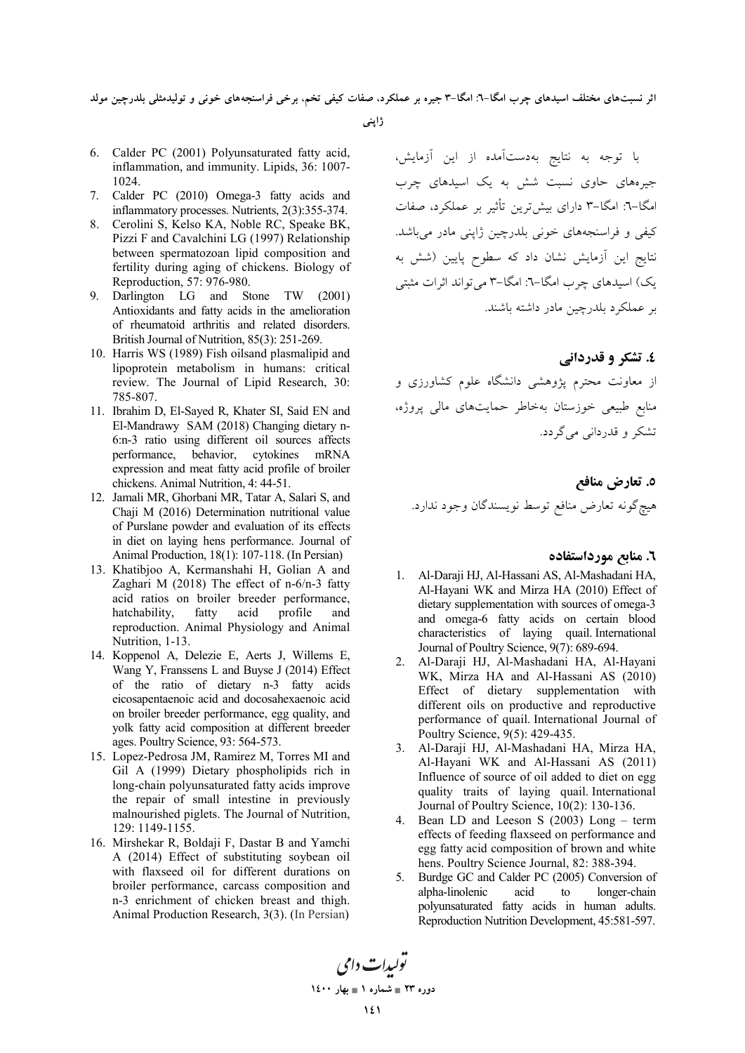'ثر نسبتهای مختلف اسیدهای چرب امگا–۲: امگا–۳ جیره بر عملکرد، صفات کیفی تخم، برخی فراسنجههای خونی و تولیدمثلی بلدرچین مولد

ژاپنی

- 6. Calder PC (2001) Polyunsaturated fatty acid, inflammation, and immunity. Lipids, 36: 1007- 1024.
- 7. Calder PC (2010) Omega-3 fatty acids and inflammatory processes. Nutrients, 2(3):355-374.
- 8. Cerolini S, Kelso KA, Noble RC, Speake BK, Pizzi F and Cavalchini LG (1997) Relationship between spermatozoan lipid composition and fertility during aging of chickens. Biology of Reproduction, 57: 976-980.
- 9. Darlington LG and Stone TW (2001) Antioxidants and fatty acids in the amelioration of rheumatoid arthritis and related disorders. British Journal of Nutrition, 85(3): 251-269.
- 10. Harris WS (1989) Fish oilsand plasmalipid and lipoprotein metabolism in humans: critical review. The Journal of Lipid Research, 30: 785-807.
- 11. Ibrahim D, El-Sayed R, Khater SI, Said EN and El-Mandrawy SAM (2018) Changing dietary n-6:n-3 ratio using different oil sources affects performance, behavior, cytokines mRNA expression and meat fatty acid profile of broiler chickens. Animal Nutrition, 4: 44-51.
- 12. Jamali MR, Ghorbani MR, Tatar A, Salari S, and Chaji M (2016) Determination nutritional value of Purslane powder and evaluation of its effects in diet on laying hens performance. Journal of Animal Production, 18(1): 107-118. (In Persian)
- 13. Khatibjoo A, Kermanshahi H, Golian A and Zaghari M (2018) The effect of n-6/n-3 fatty acid ratios on broiler breeder performance, hatchability, fatty acid profile and reproduction. Animal Physiology and Animal Nutrition, 1-13.
- 14. Koppenol A, Delezie E, Aerts J, Willems E, Wang Y, Franssens L and Buyse J (2014) Effect of the ratio of dietary n-3 fatty acids eicosapentaenoic acid and docosahexaenoic acid on broiler breeder performance, egg quality, and yolk fatty acid composition at different breeder ages. Poultry Science, 93: 564-573.
- 15. Lopez-Pedrosa JM, Ramirez M, Torres MI and Gil A (1999) Dietary phospholipids rich in long-chain polyunsaturated fatty acids improve the repair of small intestine in previously malnourished piglets. The Journal of Nutrition, 129: 1149-1155.
- 16. Mirshekar R, Boldaji F, Dastar B and Yamchi A (2014) Effect of substituting soybean oil with flaxseed oil for different durations on broiler performance, carcass composition and n-3 enrichment of chicken breast and thigh. Animal Production Research, 3(3). (In Persian)

با توجه به نتایج بهدستآمده از این آزمایش، جیرههای حاوی نسبت شش به یک اسیدهای چرب 'مگا–۳: امگا–۳ دارای بیشترین تأثیر بر عملکرد، صفات کیفی و فراسنجههای خونی بلدرچین ژاپنی مادر می باشد. نتایج این آزمایش نشان داد که سطوح پایین (شش به یک) اسیدهای چرب امگا–٦: امگا–٣ میتواند اثرات مثبتی بر عملكرد بلدرچين مادر داشته باشند.

### **٤. تشکر و قدردانی**

از معاونت محترم پژوهشی دانشگاه علوم کشاورزی و منابع طبیعی خوزستان بهخاطر حمایتهای مالی پروژه، تشکر و قدردانی می گردد.

٥. تعارض مناف*ع* هيچگونه تعارض منافع توسط نويسندگان وجود ندارد.

#### **٦. منابع مورداستفاده**

- 1. Al-Daraji HJ, Al-Hassani AS, Al-Mashadani HA, Al-Hayani WK and Mirza HA (2010) Effect of dietary supplementation with sources of omega-3 and omega-6 fatty acids on certain blood characteristics of laying quail. International Journal of Poultry Science, 9(7): 689-694.
- 2. Al-Daraji HJ, Al-Mashadani HA, Al-Hayani WK, Mirza HA and Al-Hassani AS (2010) Effect of dietary supplementation with different oils on productive and reproductive performance of quail. International Journal of Poultry Science, 9(5): 429-435.
- 3. Al-Daraji HJ, Al-Mashadani HA, Mirza HA, Al-Hayani WK and Al-Hassani AS (2011) Influence of source of oil added to diet on egg quality traits of laying quail. International Journal of Poultry Science, 10(2): 130-136.
- 4. Bean LD and Leeson S (2003) Long term effects of feeding flaxseed on performance and egg fatty acid composition of brown and white hens. Poultry Science Journal, 82: 388-394.
- 5. Burdge GC and Calder PC (2005) Conversion of alpha-linolenic acid to longer-chain polyunsaturated fatty acids in human adults. Reproduction Nutrition Development, 45:581-597.

تولیدات دامی دوره ۲۳ <u>=</u> شماره ۱ <u>= به</u>ار ۱٤۰۰ **141**